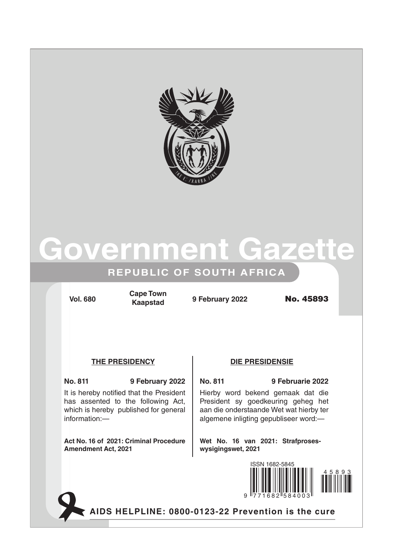

# **Government Gazette**

## **REPUBLIC OF SOUTH AFRICA**

**Vol. 680 9 February 2022** No. 45893 **Cape Town Kaapstad**

## **The Presidency DIE PRESIDENSIE**

**No. 811 9 February 2022 No. 811 9 Februarie 2022** It is hereby notified that the President has assented to the following Act, which is hereby published for general information:—

**Act No. 16 of 2021: Criminal Procedure Amendment Act, 2021**

Hierby word bekend gemaak dat die President sy goedkeuring geheg het aan die onderstaande Wet wat hierby ter algemene inligting gepubliseer word:—

**Wet No. 16 van 2021: Strafproseswysigingswet, 2021** 



**AIDS HELPLINE: 0800-0123-22 Prevention is the cure**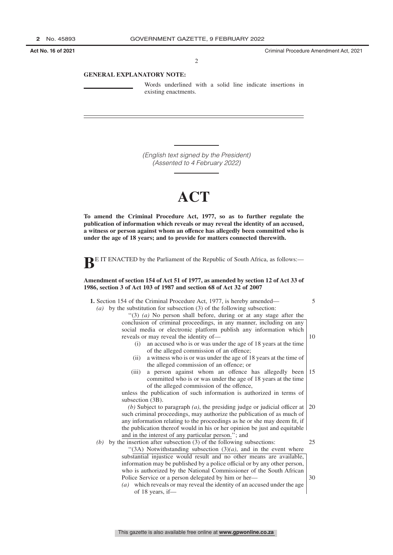**Act No. 16 of 2021** Criminal Procedure Amendment Act, 2021

2

### **GENERAL EXPLANATORY NOTE:**

Words underlined with a solid line indicate insertions in existing enactments.

*(English text signed by the President) (Assented to 4 February 2022)*

# **ACT**

**To amend the Criminal Procedure Act, 1977, so as to further regulate the publication of information which reveals or may reveal the identity of an accused, a witness or person against whom an offence has allegedly been committed who is under the age of 18 years; and to provide for matters connected therewith.**



## **Amendment of section 154 of Act 51 of 1977, as amended by section 12 of Act 33 of 1986, section 3 of Act 103 of 1987 and section 68 of Act 32 of 2007**

| 1. Section 154 of the Criminal Procedure Act, 1977, is hereby amended—                                                                   | 5  |
|------------------------------------------------------------------------------------------------------------------------------------------|----|
| by the substitution for subsection (3) of the following subsection:<br>(a)                                                               |    |
| "(3) $(a)$ No person shall before, during or at any stage after the                                                                      |    |
| conclusion of criminal proceedings, in any manner, including on any<br>social media or electronic platform publish any information which |    |
| reveals or may reveal the identity of—                                                                                                   | 10 |
| an accused who is or was under the age of 18 years at the time<br>(i)                                                                    |    |
| of the alleged commission of an offence;                                                                                                 |    |
| a witness who is or was under the age of 18 years at the time of<br>(ii)                                                                 |    |
| the alleged commission of an offence; or                                                                                                 |    |
| a person against whom an offence has allegedly been<br>(iii)<br>committed who is or was under the age of 18 years at the time            | 15 |
| of the alleged commission of the offence,                                                                                                |    |
| unless the publication of such information is authorized in terms of                                                                     |    |
| subsection (3B).                                                                                                                         |    |
| (b) Subject to paragraph $(a)$ , the presiding judge or judicial officer at                                                              | 20 |
| such criminal proceedings, may authorize the publication of as much of                                                                   |    |
| any information relating to the proceedings as he or she may deem fit, if                                                                |    |
| the publication thereof would in his or her opinion be just and equitable                                                                |    |
| and in the interest of any particular person."; and                                                                                      |    |
| by the insertion after subsection (3) of the following subsections:<br>(b)                                                               | 25 |
| "(3A) Notwithstanding subsection $(3)(a)$ , and in the event where                                                                       |    |
| substantial injustice would result and no other means are available,                                                                     |    |
| information may be published by a police official or by any other person,                                                                |    |
| who is authorized by the National Commissioner of the South African                                                                      |    |
| Police Service or a person delegated by him or her—                                                                                      | 30 |
| which reveals or may reveal the identity of an accused under the age<br>(a)                                                              |    |
| of 18 years, if—                                                                                                                         |    |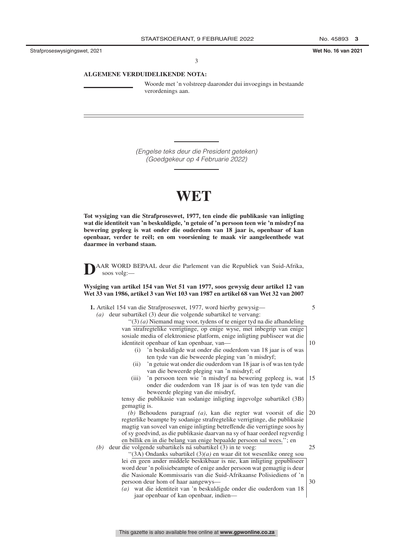Strafproseswysigingswet, 2021 **Wet No. 16 van 2021**

3

### **ALGEMENE VERDUIDELIKENDE NOTA:**

Woorde met 'n volstreep daaronder dui invoegings in bestaande verordenings aan.

*(Engelse teks deur die President geteken) (Goedgekeur op 4 Februarie 2022)*

# **WET**

**Tot wysiging van die Strafproseswet, 1977, ten einde die publikasie van inligting wat die identiteit van 'n beskuldigde, 'n getuie of 'n persoon teen wie 'n misdryf na bewering gepleeg is wat onder die ouderdom van 18 jaar is, openbaar of kan openbaar, verder te reël; en om voorsiening te maak vir aangeleenthede wat daarmee in verband staan.**



**D**AAR WORD BEPAAL deur die Parlement van die Republiek van Suid-Afrika, soos volg:—

**Wysiging van artikel 154 van Wet 51 van 1977, soos gewysig deur artikel 12 van Wet 33 van 1986, artikel 3 van Wet 103 van 1987 en artikel 68 van Wet 32 van 2007**

| $(a)$ deur subartikel (3) deur die volgende subartikel te vervang:<br>"(3) (a) Niemand mag voor, tydens of te eniger tyd na die afhandeling<br>van strafregtelike verrigtinge, op enige wyse, met inbegrip van enige<br>sosiale media of elektroniese platform, enige inligting publiseer wat die<br>identiteit openbaar of kan openbaar, van-<br>10<br>'n beskuldigde wat onder die ouderdom van 18 jaar is of was<br>(i)<br>ten tyde van die beweerde pleging van 'n misdryf;<br>'n getuie wat onder die ouderdom van 18 jaar is of was ten tyde<br>(ii)<br>van die beweerde pleging van 'n misdryf; of<br>'n persoon teen wie 'n misdryf na bewering gepleeg is, wat<br>15<br>(iii) | 5 |
|----------------------------------------------------------------------------------------------------------------------------------------------------------------------------------------------------------------------------------------------------------------------------------------------------------------------------------------------------------------------------------------------------------------------------------------------------------------------------------------------------------------------------------------------------------------------------------------------------------------------------------------------------------------------------------------|---|
|                                                                                                                                                                                                                                                                                                                                                                                                                                                                                                                                                                                                                                                                                        |   |
|                                                                                                                                                                                                                                                                                                                                                                                                                                                                                                                                                                                                                                                                                        |   |
|                                                                                                                                                                                                                                                                                                                                                                                                                                                                                                                                                                                                                                                                                        |   |
|                                                                                                                                                                                                                                                                                                                                                                                                                                                                                                                                                                                                                                                                                        |   |
|                                                                                                                                                                                                                                                                                                                                                                                                                                                                                                                                                                                                                                                                                        |   |
|                                                                                                                                                                                                                                                                                                                                                                                                                                                                                                                                                                                                                                                                                        |   |
|                                                                                                                                                                                                                                                                                                                                                                                                                                                                                                                                                                                                                                                                                        |   |
|                                                                                                                                                                                                                                                                                                                                                                                                                                                                                                                                                                                                                                                                                        |   |
|                                                                                                                                                                                                                                                                                                                                                                                                                                                                                                                                                                                                                                                                                        |   |
|                                                                                                                                                                                                                                                                                                                                                                                                                                                                                                                                                                                                                                                                                        |   |
| onder die ouderdom van 18 jaar is of was ten tyde van die                                                                                                                                                                                                                                                                                                                                                                                                                                                                                                                                                                                                                              |   |
| beweerde pleging van die misdryf,                                                                                                                                                                                                                                                                                                                                                                                                                                                                                                                                                                                                                                                      |   |
| tensy die publikasie van sodanige inligting ingevolge subartikel (3B)                                                                                                                                                                                                                                                                                                                                                                                                                                                                                                                                                                                                                  |   |
| gemagtig is.                                                                                                                                                                                                                                                                                                                                                                                                                                                                                                                                                                                                                                                                           |   |
| $(b)$ Behoudens paragraaf $(a)$ , kan die regter wat voorsit of die<br>20                                                                                                                                                                                                                                                                                                                                                                                                                                                                                                                                                                                                              |   |
| regterlike beampte by sodanige strafregtelike verrigtinge, die publikasie                                                                                                                                                                                                                                                                                                                                                                                                                                                                                                                                                                                                              |   |
| magtig van soveel van enige inligting betreffende die verrigtinge soos hy                                                                                                                                                                                                                                                                                                                                                                                                                                                                                                                                                                                                              |   |
| of sy goedvind, as die publikasie daarvan na sy of haar oordeel regverdig                                                                                                                                                                                                                                                                                                                                                                                                                                                                                                                                                                                                              |   |
| en billik en in die belang van enige bepaalde persoon sal wees."; en                                                                                                                                                                                                                                                                                                                                                                                                                                                                                                                                                                                                                   |   |
| $(b)$ deur die volgende subartikels ná subartikel $(3)$ in te voeg:<br>25                                                                                                                                                                                                                                                                                                                                                                                                                                                                                                                                                                                                              |   |
| "(3A) Ondanks subartikel $(3)(a)$ en waar dit tot wesenlike onreg sou                                                                                                                                                                                                                                                                                                                                                                                                                                                                                                                                                                                                                  |   |
| lei en geen ander middele beskikbaar is nie, kan inligting gepubliseer                                                                                                                                                                                                                                                                                                                                                                                                                                                                                                                                                                                                                 |   |
| word deur 'n polisiebeampte of enige ander persoon wat gemagtig is deur                                                                                                                                                                                                                                                                                                                                                                                                                                                                                                                                                                                                                |   |
| die Nasionale Kommissaris van die Suid-Afrikaanse Polisiediens of 'n                                                                                                                                                                                                                                                                                                                                                                                                                                                                                                                                                                                                                   |   |
| persoon deur hom of haar aangewys-<br>30                                                                                                                                                                                                                                                                                                                                                                                                                                                                                                                                                                                                                                               |   |
| (a) wat die identiteit van 'n beskuldigde onder die ouderdom van 18                                                                                                                                                                                                                                                                                                                                                                                                                                                                                                                                                                                                                    |   |
| jaar openbaar of kan openbaar, indien-                                                                                                                                                                                                                                                                                                                                                                                                                                                                                                                                                                                                                                                 |   |

This gazette is also available free online at **www.gpwonline.co.za**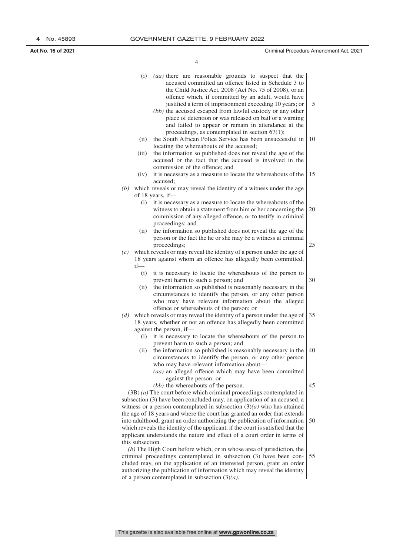**Act No. 16 of 2021** Criminal Procedure Amendment Act, 2021

4

|                                                                          | (i)                                                                      | (aa) there are reasonable grounds to suspect that the<br>accused committed an offence listed in Schedule 3 to<br>the Child Justice Act, 2008 (Act No. 75 of 2008), or an<br>offence which, if committed by an adult, would have                                                             | 5  |  |  |
|--------------------------------------------------------------------------|--------------------------------------------------------------------------|---------------------------------------------------------------------------------------------------------------------------------------------------------------------------------------------------------------------------------------------------------------------------------------------|----|--|--|
|                                                                          |                                                                          | justified a term of imprisonment exceeding 10 years; or<br>(bb) the accused escaped from lawful custody or any other<br>place of detention or was released on bail or a warning<br>and failed to appear or remain in attendance at the<br>proceedings, as contemplated in section $67(1)$ ; |    |  |  |
|                                                                          | (ii)                                                                     | the South African Police Service has been unsuccessful in<br>locating the whereabouts of the accused;                                                                                                                                                                                       | 10 |  |  |
|                                                                          | (iii)                                                                    | the information so published does not reveal the age of the<br>accused or the fact that the accused is involved in the<br>commission of the offence; and                                                                                                                                    |    |  |  |
|                                                                          | (iv)                                                                     | it is necessary as a measure to locate the whereabouts of the<br>accused:                                                                                                                                                                                                                   | 15 |  |  |
| (b)                                                                      |                                                                          | which reveals or may reveal the identity of a witness under the age                                                                                                                                                                                                                         |    |  |  |
|                                                                          |                                                                          | of 18 years, if-                                                                                                                                                                                                                                                                            |    |  |  |
|                                                                          | (i)                                                                      | it is necessary as a measure to locate the whereabouts of the<br>witness to obtain a statement from him or her concerning the<br>commission of any alleged offence, or to testify in criminal<br>proceedings; and                                                                           | 20 |  |  |
|                                                                          | (ii)                                                                     | the information so published does not reveal the age of the<br>person or the fact the he or she may be a witness at criminal<br>proceedings;                                                                                                                                                | 25 |  |  |
| (c)                                                                      |                                                                          | which reveals or may reveal the identity of a person under the age of                                                                                                                                                                                                                       |    |  |  |
|                                                                          |                                                                          | 18 years against whom an offence has allegedly been committed,                                                                                                                                                                                                                              |    |  |  |
|                                                                          | $if$ —                                                                   |                                                                                                                                                                                                                                                                                             |    |  |  |
|                                                                          | (i)                                                                      | it is necessary to locate the whereabouts of the person to<br>prevent harm to such a person; and                                                                                                                                                                                            | 30 |  |  |
|                                                                          | (ii)                                                                     | the information so published is reasonably necessary in the<br>circumstances to identify the person, or any other person<br>who may have relevant information about the alleged                                                                                                             |    |  |  |
| (d)                                                                      |                                                                          | offence or whereabouts of the person; or<br>which reveals or may reveal the identity of a person under the age of<br>18 years, whether or not an offence has allegedly been committed                                                                                                       | 35 |  |  |
|                                                                          | (i)                                                                      | against the person, if-<br>it is necessary to locate the whereabouts of the person to                                                                                                                                                                                                       |    |  |  |
|                                                                          |                                                                          | prevent harm to such a person; and                                                                                                                                                                                                                                                          |    |  |  |
|                                                                          | (ii)                                                                     | the information so published is reasonably necessary in the                                                                                                                                                                                                                                 | 40 |  |  |
|                                                                          |                                                                          | circumstances to identify the person, or any other person                                                                                                                                                                                                                                   |    |  |  |
|                                                                          |                                                                          | who may have relevant information about-<br>(aa) an alleged offence which may have been committed                                                                                                                                                                                           |    |  |  |
|                                                                          |                                                                          | against the person; or                                                                                                                                                                                                                                                                      |    |  |  |
|                                                                          |                                                                          | (bb) the whereabouts of the person.                                                                                                                                                                                                                                                         | 45 |  |  |
|                                                                          |                                                                          | $(3B)$ (a) The court before which criminal proceedings contemplated in                                                                                                                                                                                                                      |    |  |  |
|                                                                          |                                                                          | subsection (3) have been concluded may, on application of an accused, a                                                                                                                                                                                                                     |    |  |  |
|                                                                          |                                                                          | witness or a person contemplated in subsection $(3)(a)$ who has attained<br>the age of 18 years and where the court has granted an order that extends                                                                                                                                       |    |  |  |
|                                                                          |                                                                          | into adulthood, grant an order authorizing the publication of information                                                                                                                                                                                                                   | 50 |  |  |
|                                                                          |                                                                          | which reveals the identity of the applicant, if the court is satisfied that the<br>applicant understands the nature and effect of a court order in terms of                                                                                                                                 |    |  |  |
|                                                                          | this subsection.                                                         |                                                                                                                                                                                                                                                                                             |    |  |  |
| $(b)$ The High Court before which, or in whose area of jurisdiction, the |                                                                          |                                                                                                                                                                                                                                                                                             |    |  |  |
|                                                                          | criminal proceedings contemplated in subsection (3) have been con-<br>55 |                                                                                                                                                                                                                                                                                             |    |  |  |
|                                                                          | cluded may, on the application of an interested person, grant an order   |                                                                                                                                                                                                                                                                                             |    |  |  |

This gazette is also available free online at **www.gpwonline.co.za**

of a person contemplated in subsection (3)*(a)*.

authorizing the publication of information which may reveal the identity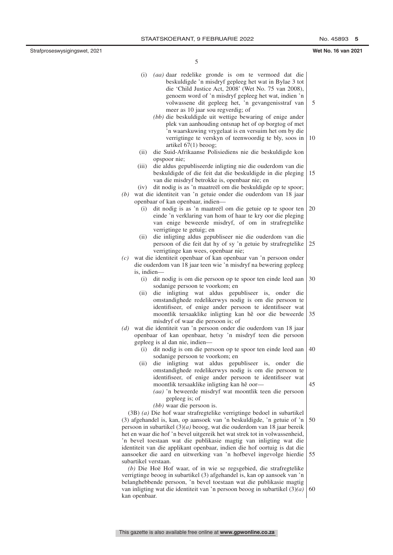Strafproseswysigingswet, 2021 **Wet No. 16 van 2021**

5

| (i)                  | (aa) daar redelike gronde is om te vermoed dat die<br>beskuldigde 'n misdryf gepleeg het wat in Bylae 3 tot<br>die 'Child Justice Act, 2008' (Wet No. 75 van 2008),<br>genoem word of 'n misdryf gepleeg het wat, indien 'n<br>volwassene dit gepleeg het, 'n gevangenisstraf van<br>meer as 10 jaar sou regverdig; of                      | 5  |
|----------------------|---------------------------------------------------------------------------------------------------------------------------------------------------------------------------------------------------------------------------------------------------------------------------------------------------------------------------------------------|----|
|                      | (bb) die beskuldigde uit wettige bewaring of enige ander<br>plek van aanhouding ontsnap het of op borgtog of met<br>'n waarskuwing vrygelaat is en versuim het om by die<br>verrigtinge te verskyn of teenwoordig te bly, soos in<br>artikel $67(1)$ beoog;                                                                                 | 10 |
| (ii)<br>(iii)        | die Suid-Afrikaanse Polisiediens nie die beskuldigde kon<br>opspoor nie;<br>die aldus gepubliseerde inligting nie die ouderdom van die                                                                                                                                                                                                      |    |
| (iv)                 | beskuldigde of die feit dat die beskuldigde in die pleging<br>van die misdryf betrokke is, openbaar nie; en<br>dit nodig is as 'n maatreël om die beskuldigde op te spoor;                                                                                                                                                                  | 15 |
| (b)                  | wat die identiteit van 'n getuie onder die ouderdom van 18 jaar                                                                                                                                                                                                                                                                             |    |
|                      | openbaar of kan openbaar, indien-                                                                                                                                                                                                                                                                                                           |    |
| (i)                  | dit nodig is as 'n maatreël om die getuie op te spoor ten<br>einde 'n verklaring van hom of haar te kry oor die pleging<br>van enige beweerde misdryf, of om in strafregtelike<br>verrigtinge te getuig; en                                                                                                                                 | 20 |
| (ii)                 | die inligting aldus gepubliseer nie die ouderdom van die<br>persoon of die feit dat hy of sy 'n getuie by strafregtelike<br>verrigtinge kan wees, openbaar nie;                                                                                                                                                                             | 25 |
| (c)                  | wat die identiteit openbaar of kan openbaar van 'n persoon onder                                                                                                                                                                                                                                                                            |    |
|                      | die ouderdom van 18 jaar teen wie 'n misdryf na bewering gepleeg                                                                                                                                                                                                                                                                            |    |
| is, indien-          |                                                                                                                                                                                                                                                                                                                                             |    |
| (i)                  | dit nodig is om die persoon op te spoor ten einde leed aan<br>sodanige persoon te voorkom; en                                                                                                                                                                                                                                               | 30 |
| (ii)                 | die inligting wat aldus gepubliseer is, onder die<br>omstandighede redelikerwys nodig is om die persoon te<br>identifiseer, of enige ander persoon te identifiseer wat<br>moontlik tersaaklike inligting kan hê oor die beweerde<br>misdryf of waar die persoon is; of                                                                      | 35 |
| (d)                  | wat die identiteit van 'n persoon onder die ouderdom van 18 jaar<br>openbaar of kan openbaar, hetsy 'n misdryf teen die persoon                                                                                                                                                                                                             |    |
|                      | gepleeg is al dan nie, indien-                                                                                                                                                                                                                                                                                                              |    |
| (i)                  | dit nodig is om die persoon op te spoor ten einde leed aan<br>sodanige persoon te voorkom; en                                                                                                                                                                                                                                               | 40 |
|                      | (ii) die inligting wat aldus gepubliseer is, onder die<br>omstandighede redelikerwys nodig is om die persoon te<br>identifiseer, of enige ander persoon te identifiseer wat<br>moontlik tersaaklike inligting kan hê oor-<br>(aa) 'n beweerde misdryf wat moontlik teen die persoon<br>gepleeg is; of                                       | 45 |
|                      | $(bb)$ waar die persoon is.<br>$(3B)$ (a) Die hof waar strafregtelike verrigtinge bedoel in subartikel<br>(3) afgehandel is, kan, op aansoek van 'n beskuldigde, 'n getuie of 'n<br>persoon in subartikel $(3)(a)$ beoog, wat die ouderdom van 18 jaar bereik<br>het en waar die hof 'n bevel uitgereik het wat strek tot in volwassenheid, | 50 |
| subartikel verstaan. | 'n bevel toestaan wat die publikasie magtig van inligting wat die<br>identiteit van die applikant openbaar, indien die hof oortuig is dat die<br>aansoeker die aard en uitwerking van 'n hofbevel ingevolge hierdie                                                                                                                         | 55 |
| kan openbaar.        | $(b)$ Die Hoë Hof waar, of in wie se regsgebied, die strafregtelike<br>verrigtinge beoog in subartikel (3) afgehandel is, kan op aansoek van 'n<br>belanghebbende persoon, 'n bevel toestaan wat die publikasie magtig<br>van inligting wat die identiteit van 'n persoon beoog in subartikel $(3)(a)$                                      | 60 |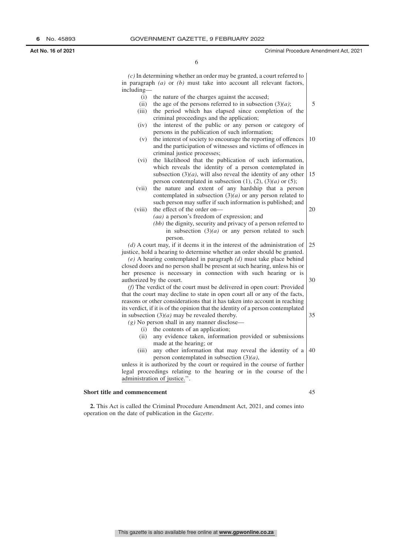#### **Act No. 16 of 2021** Criminal Procedure Amendment Act, 2021

6

*(c)* In determining whether an order may be granted, a court referred to in paragraph *(a)* or *(b)* must take into account all relevant factors, including—

(i) the nature of the charges against the accused; (ii) the age of the persons referred to in subsection  $(3)(a)$ ; (iii) the period which has elapsed since completion of the criminal proceedings and the application; (iv) the interest of the public or any person or category of persons in the publication of such information; (v) the interest of society to encourage the reporting of offences and the participation of witnesses and victims of offences in criminal justice processes; (vi) the likelihood that the publication of such information, which reveals the identity of a person contemplated in subsection  $(3)(a)$ , will also reveal the identity of any other person contemplated in subsection  $(1)$ ,  $(2)$ ,  $(3)(a)$  or  $(5)$ ; (vii) the nature and extent of any hardship that a person contemplated in subsection (3)*(a)* or any person related to such person may suffer if such information is published; and (viii) the effect of the order on— *(aa)* a person's freedom of expression; and *(bb)* the dignity, security and privacy of a person referred to in subsection  $(3)(a)$  or any person related to such person. *(d)* A court may, if it deems it in the interest of the administration of justice, hold a hearing to determine whether an order should be granted. *(e)* A hearing contemplated in paragraph *(d)* must take place behind closed doors and no person shall be present at such hearing, unless his or her presence is necessary in connection with such hearing or is authorized by the court. *(f)* The verdict of the court must be delivered in open court: Provided that the court may decline to state in open court all or any of the facts, reasons or other considerations that it has taken into account in reaching its verdict, if it is of the opinion that the identity of a person contemplated in subsection (3)*(a)* may be revealed thereby.  $(g)$  No person shall in any manner disclose-(i) the contents of an application; (ii) any evidence taken, information provided or submissions made at the hearing; or (iii) any other information that may reveal the identity of a  $\vert$  40 person contemplated in subsection (3)*(a)*, unless it is authorized by the court or required in the course of further legal proceedings relating to the hearing or in the course of the administration of justice.''. **Short title and commencement** 5 10 15 20  $25$ 30 35 45

**2.** This Act is called the Criminal Procedure Amendment Act, 2021, and comes into operation on the date of publication in the *Gazette*.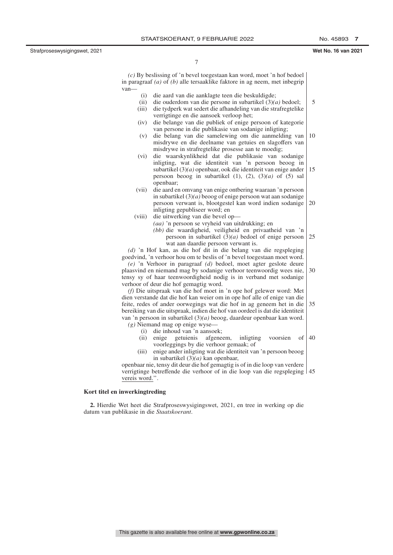Strafproseswysigingswet, 2021 **Wet No. 16 van 2021**

5

7

*(c)* By beslissing of 'n bevel toegestaan kan word, moet 'n hof bedoel in paragraaf *(a)* of *(b)* alle tersaaklike faktore in ag neem, met inbegrip van—

- (i) die aard van die aanklagte teen die beskuldigde;
- (ii) die ouderdom van die persone in subartikel (3)*(a)* bedoel;
- (iii) die tydperk wat sedert die afhandeling van die strafregtelike verrigtinge en die aansoek verloop het;
- (iv) die belange van die publiek of enige persoon of kategorie van persone in die publikasie van sodanige inligting;
- (v) die belang van die samelewing om die aanmelding van misdrywe en die deelname van getuies en slagoffers van misdrywe in strafregtelike prosesse aan te moedig; 10
- (vi) die waarskynlikheid dat die publikasie van sodanige inligting, wat die identiteit van 'n persoon beoog in subartikel (3)*(a)* openbaar, ook die identiteit van enige ander persoon beoog in subartikel (1), (2), (3)*(a)* of (5) sal openbaar; 15
- (vii) die aard en omvang van enige ontbering waaraan 'n persoon in subartikel (3)*(a)* beoog of enige persoon wat aan sodanige persoon verwant is, blootgestel kan word indien sodanige inligting gepubliseer word; en 20

#### (viii) die uitwerking van die bevel op— *(aa)* 'n persoon se vryheid van uitdrukking; en *(bb)* die waardigheid, veiligheid en privaatheid van 'n persoon in subartikel (3)*(a)* bedoel of enige persoon  $25$

wat aan daardie persoon verwant is. *(d)* 'n Hof kan, as die hof dit in die belang van die regspleging goedvind, 'n verhoor hou om te beslis of 'n bevel toegestaan moet word. *(e)* 'n Verhoor in paragraaf *(d)* bedoel, moet agter geslote deure plaasvind en niemand mag by sodanige verhoor teenwoordig wees nie, tensy sy of haar teenwoordigheid nodig is in verband met sodanige verhoor of deur die hof gemagtig word. 30

*(f)* Die uitspraak van die hof moet in 'n ope hof gelewer word: Met dien verstande dat die hof kan weier om in ope hof alle of enige van die feite, redes of ander oorwegings wat die hof in ag geneem het in die bereiking van die uitspraak, indien die hof van oordeel is dat die identiteit van 'n persoon in subartikel (3)*(a)* beoog, daardeur openbaar kan word. 35

- *(g)* Niemand mag op enige wyse—
	- (i) die inhoud van 'n aansoek;
	- (ii) enige getuienis afgeneem, inligting voorsien of voorleggings by die verhoor gemaak; of 40
	- (iii) enige ander inligting wat die identiteit van 'n persoon beoog in subartikel (3)*(a)* kan openbaar,

openbaar nie, tensy dit deur die hof gemagtig is of in die loop van verdere verrigtinge betreffende die verhoor of in die loop van die regspleging 45 vereis word.''.

#### **Kort titel en inwerkingtreding**

**2.** Hierdie Wet heet die Strafproseswysigingswet, 2021, en tree in werking op die datum van publikasie in die *Staatskoerant*.